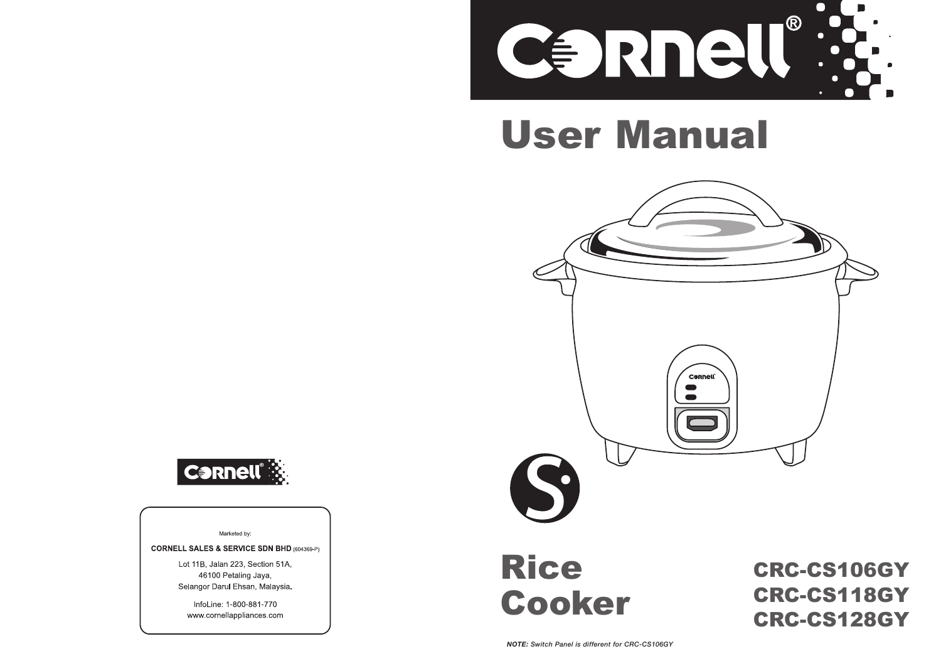

# User Manual





Marketed by:

**CORNELL SALES & SERVICE SDN BHD (604369-P)** 

Lot 11B, Jalan 223, Section 51A. 46100 Petaling Jaya, Selangor Darul Ehsan, Malaysia.

> InfoLine: 1-800-881-770 www.cornellappliances.com

## Rice Cooker

CRC-CS106GY CRC-CS118GY CRC-CS128GY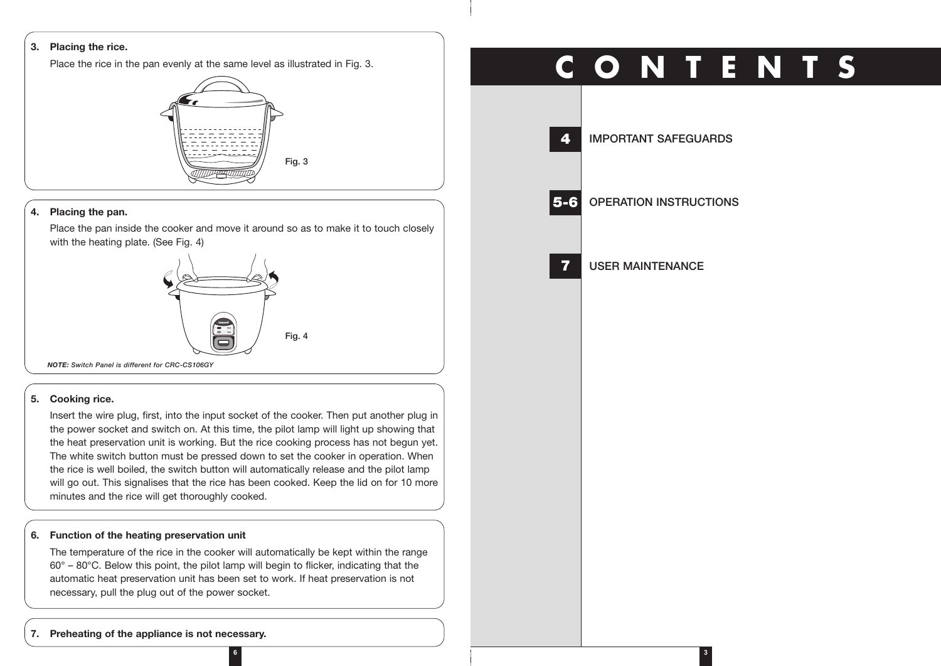#### **3. Placing the rice.**

Place the rice in the pan evenly at the same level as illustrated in Fig. 3.



### **4. Placing the pan.**

Place the pan inside the cooker and move it around so as to make it to touch closely with the heating plate. (See Fig. 4)



#### **5. Cooking rice.**

Insert the wire plug, first, into the input socket of the cooker. Then put another plug in the power socket and switch on. At this time, the pilot lamp will light up showing that the heat preservation unit is working. But the rice cooking process has not begun yet. The white switch button must be pressed down to set the cooker in operation. When the rice is well boiled, the switch button will automatically release and the pilot lamp will go out. This signalises that the rice has been cooked. Keep the lid on for 10 more minutes and the rice will get thoroughly cooked.

#### **6. Function of the heating preservation unit**

The temperature of the rice in the cooker will automatically be kept within the range 60° – 80°C. Below this point, the pilot lamp will begin to flicker, indicating that the automatic heat preservation unit has been set to work. If heat preservation is not necessary, pull the plug out of the power socket.

## **C O N T E N T S**

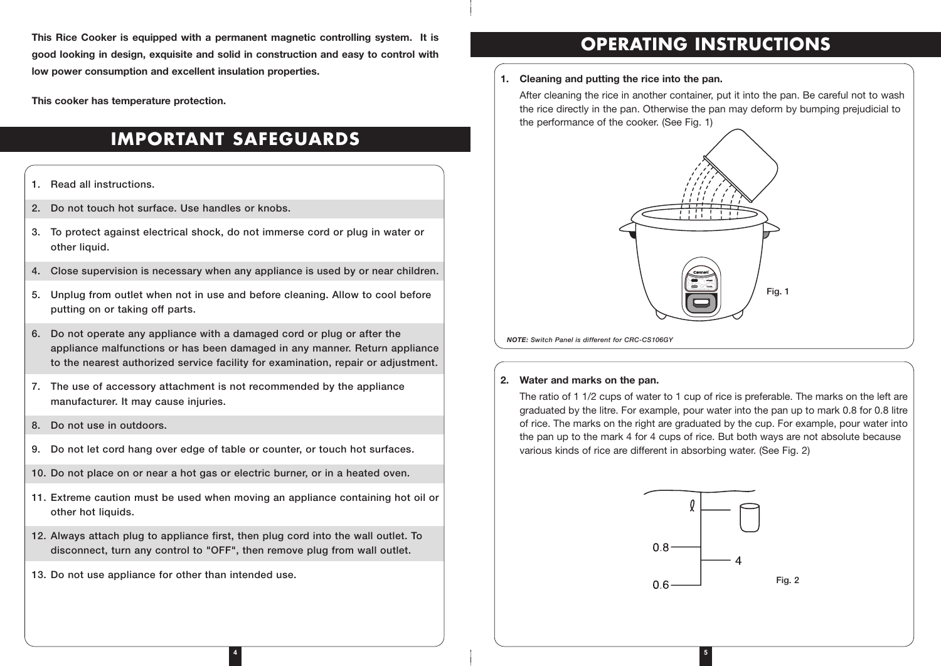**This Rice Cooker is equipped with a permanent magnetic controlling system. It is good looking in design, exquisite and solid in construction and easy to control with low power consumption and excellent insulation properties.**

**This cooker has temperature protection.**

## **IMPORTANT SAFEGUARDS**

### **1. Read all instructions.**

- **2. Do not touch hot surface. Use handles or knobs.**
- **3. To protect against electrical shock, do not immerse cord or plug in water or other liquid.**
- **4. Close supervision is necessary when any appliance is used by or near children.**
- **5. Unplug from outlet when not in use and before cleaning. Allow to cool before putting on or taking off parts.**
- **6. Do not operate any appliance with a damaged cord or plug or after the appliance malfunctions or has been damaged in any manner. Return appliance to the nearest authorized service facility for examination, repair or adjustment.**
- **7. The use of accessory attachment is not recommended by the appliance manufacturer. It may cause injuries.**
- **8. Do not use in outdoors.**
- **9. Do not let cord hang over edge of table or counter, or touch hot surfaces.**
- **10. Do not place on or near a hot gas or electric burner, or in a heated oven.**
- **11. Extreme caution must be used when moving an appliance containing hot oil or other hot liquids.**

**4**

- **12. Always attach plug to appliance first, then plug cord into the wall outlet. To disconnect, turn any control to "OFF", then remove plug from wall outlet.**
- **13. Do not use appliance for other than intended use.**

## **OPERATING INSTRUCTIONS**

## **1. Cleaning and putting the rice into the pan.**

After cleaning the rice in another container, put it into the pan. Be careful not to wash the rice directly in the pan. Otherwise the pan may deform by bumping prejudicial to the performance of the cooker. (See Fig. 1)



*NOTE: Switch Panel is different for CRC-CS106GY*

## **2. Water and marks on the pan.**

The ratio of 1 1/2 cups of water to 1 cup of rice is preferable. The marks on the left are graduated by the litre. For example, pour water into the pan up to mark 0.8 for 0.8 litre of rice. The marks on the right are graduated by the cup. For example, pour water into the pan up to the mark 4 for 4 cups of rice. But both ways are not absolute because various kinds of rice are different in absorbing water. (See Fig. 2)



**5**